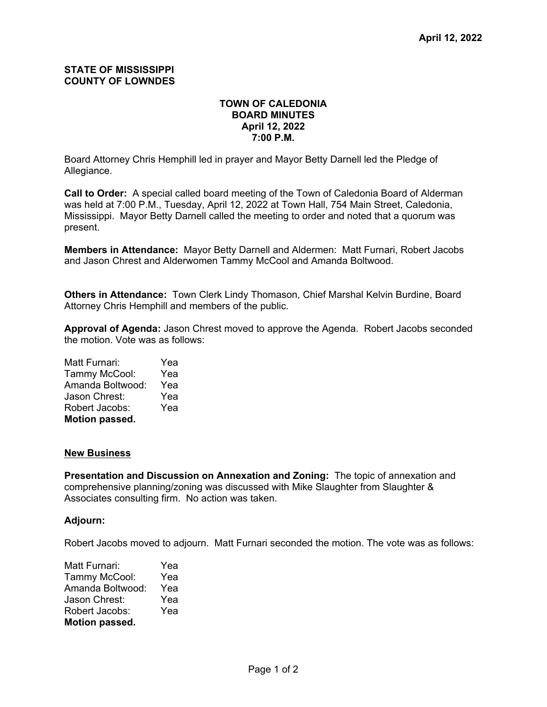## **STATE OF MISSISSIPPI COUNTY OF LOWNDES**

## **TOWN OF CALEDONIA BOARD MINUTES April 12, 2022 7:00 P.M.**

Board Attorney Chris Hemphill led in prayer and Mayor Betty Darnell led the Pledge of Allegiance.

**Call to Order:** A special called board meeting of the Town of Caledonia Board of Alderman was held at 7:00 P.M., Tuesday, April 12, 2022 at Town Hall, 754 Main Street, Caledonia, Mississippi. Mayor Betty Darnell called the meeting to order and noted that a quorum was present.

**Members in Attendance:** Mayor Betty Darnell and Aldermen: Matt Furnari, Robert Jacobs and Jason Chrest and Alderwomen Tammy McCool and Amanda Boltwood.

**Others in Attendance:** Town Clerk Lindy Thomason, Chief Marshal Kelvin Burdine, Board Attorney Chris Hemphill and members of the public.

**Approval of Agenda:** Jason Chrest moved to approve the Agenda. Robert Jacobs seconded the motion. Vote was as follows:

Matt Furnari: Yea Tammy McCool: Yea Amanda Boltwood: Yea Jason Chrest: Yea Robert Jacobs: Yea **Motion passed.**

## **New Business**

**Presentation and Discussion on Annexation and Zoning:** The topic of annexation and comprehensive planning/zoning was discussed with Mike Slaughter from Slaughter & Associates consulting firm. No action was taken.

## **Adjourn:**

Robert Jacobs moved to adjourn. Matt Furnari seconded the motion. The vote was as follows:

| Matt Furnari:         | Yea |  |  |
|-----------------------|-----|--|--|
| Tammy McCool:         | Yea |  |  |
| Amanda Boltwood:      | Yea |  |  |
| Jason Chrest:         | Yea |  |  |
| Robert Jacobs:        | Yea |  |  |
| <b>Motion passed.</b> |     |  |  |